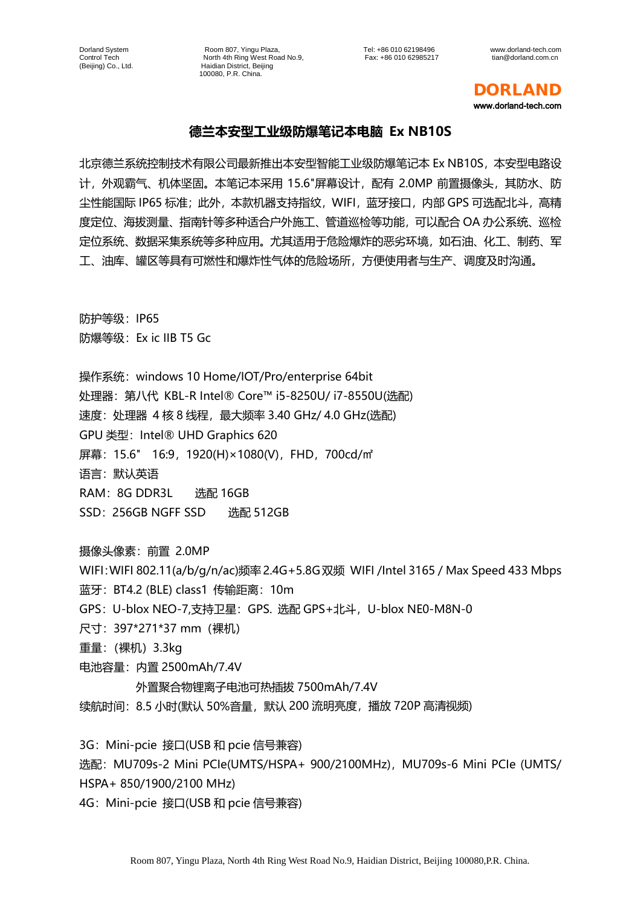Dorland System Room 807, Yingu Plaza, Tel: +86 010 62198496 www.dorland-tech.com Control Tech North 4th Ring West Road No.9,<br>Control Tech 1. North 4th Ring West Road No.9, Fax: +86 010 62985217 tian@dorland.com.cn<br>(Beijing) Co., Ltd. Haidian District, Beijing Haidian District, Beijing 100080, P.R. China.

DORLAND www.dorland-tech.com

## **德兰本安型工业级防爆笔记本电脑 Ex NB10S**

北京德兰系统控制技术有限公司最新推出本安型智能工业级防爆笔记本 Ex NB10S,本安型电路设 计, 外观霸气、机体坚固。本笔记本采用 15.6"屏幕设计, 配有 2.0MP 前置摄像头, 其防水、防 尘性能国际 IP65 标准;此外,本款机器支持指纹,WIFI,蓝牙接口,内部 GPS 可选配北斗,高精 度定位、海拔测量、指南针等多种适合户外施工、管道巡检等功能,可以配合 OA 办公系统、巡检 定位系统、数据采集系统等多种应用。尤其适用于危险爆炸的恶劣环境,如石油、化工、制药、军 工、油库、罐区等具有可燃性和爆炸性气体的危险场所,方便使用者与生产、调度及时沟通。

防护等级:IP65 防爆等级:Ex ic IIB T5 Gc

操作系统:windows 10 Home/IOT/Pro/enterprise 64bit 处理器:第八代 KBL-R Intel® Core™ i5-8250U/ i7-8550U(选配) 速度: 处理器 4 核 8 线程, 最大频率 3.40 GHz/ 4.0 GHz(选配) GPU 类型:Intel® UHD Graphics 620 屏幕: 15.6" 16:9, 1920(H)×1080(V), FHD, 700cd/㎡ 语言:默认英语 RAM: 8G DDR3L 选配 16GB SSD: 256GB NGFF SSD 选配 512GB

摄像头像素:前置 2.0MP

WIFI:WIFI 802.11(a/b/g/n/ac)频率2.4G+5.8G双频 WIFI /Intel 3165 / Max Speed 433 Mbps 蓝牙: BT4.2 (BLE) class1 传输距离: 10m GPS:U-blox NEO-7,支持卫星:GPS. 选配 GPS+北斗,U-blox NE0-M8N-0 尺寸:397\*271\*37 mm(裸机) 重量:(裸机)3.3kg 电池容量:内置 2500mAh/7.4V

外置聚合物锂离子电池可热插拔 7500mAh/7.4V 续航时间:8.5 小时(默认 50%音量,默认 200 流明亮度,播放 720P 高清视频)

3G: Mini-pcie 接口(USB 和 pcie 信号兼容)

选配: MU709s-2 Mini PCIe(UMTS/HSPA+ 900/2100MHz), MU709s-6 Mini PCIe (UMTS/ HSPA+ 850/1900/2100 MHz)

4G: Mini-pcie 接口(USB 和 pcie 信号兼容)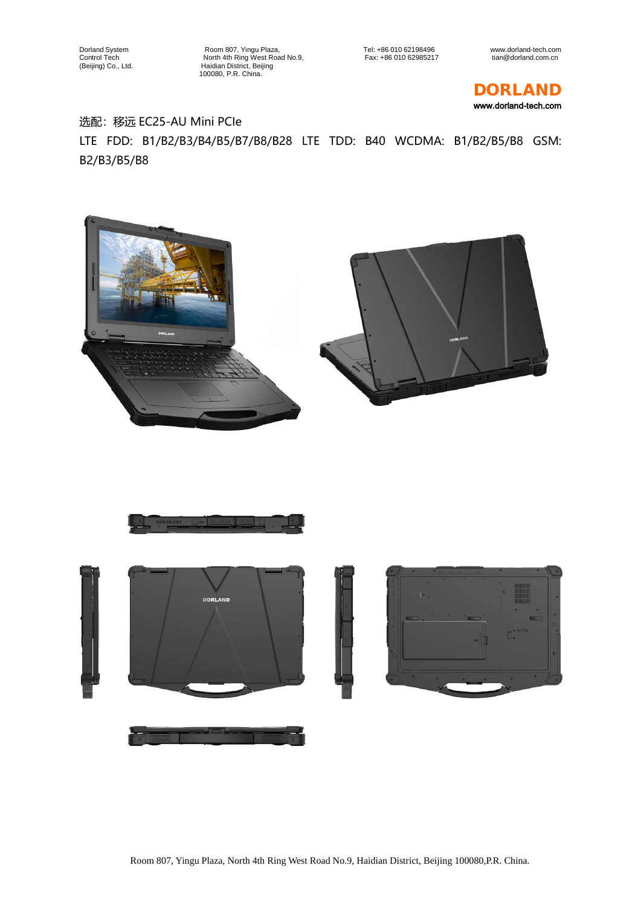Dorland System Room 807, Yingu Plaza, Tel: +86 010 62198496 www.dorland-tech.com Control Tech North 4th Ring West Road No.9, Fax: +86 010 62985217 tian@dorland.com.cn (Beijing) Co., Ltd. Haidian District, Beijing 1000807, Yingu F<br>
1000807, Yingu F<br>
100080, P.R. China.<br>
100080, P.R. China.<br>
100080, P.R. China.

DORLAND www.dorland-tech.com

## 选配:移远 EC25-AU Mini PCIe LTE FDD: B1/B2/B3/B4/B5/B7/B8/B28 LTE TDD: B40 WCDMA: B1/B2/B5/B8 GSM: B2/B3/B5/B8



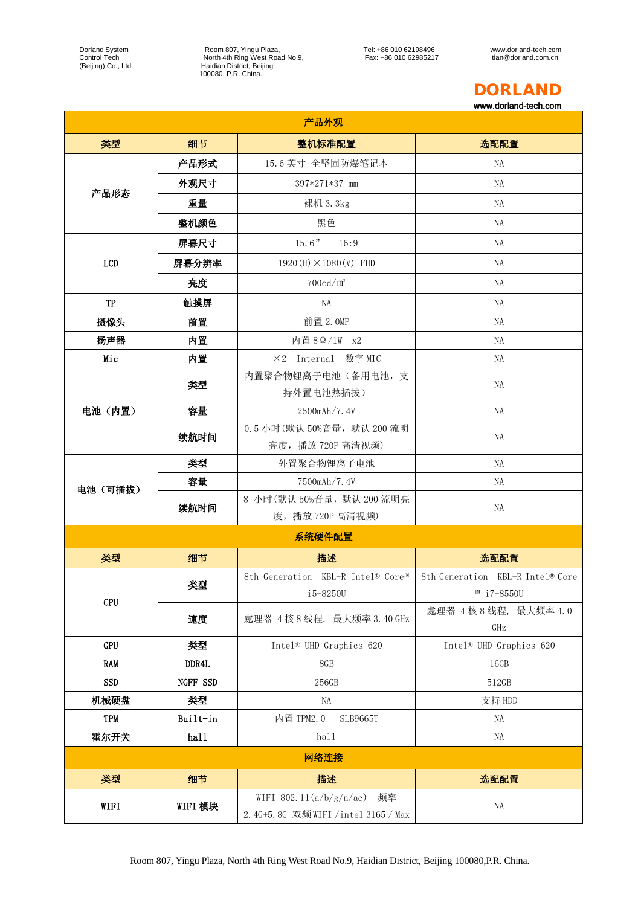Dorland System Room 807, Yingu Plaza, Tel: +86 010 62198496 www.dorland-tech.com Control Tech North 4th Ring West Road No.9, Fax: +86 010 62985217 tian@dorland.com.cn (Beijing) Co., Ltd. Haidian District, Beijing 100080, P.R. China.

## DORLAND

www.dorland-tech.com

| 产品外观       |          |                                                                     |                                                    |  |  |
|------------|----------|---------------------------------------------------------------------|----------------------------------------------------|--|--|
| 类型         | 细节       | 整机标准配置                                                              | 选配配置                                               |  |  |
| 产品形态       | 产品形式     | 15.6 英寸 全坚固防爆笔记本                                                    | <b>NA</b>                                          |  |  |
|            | 外观尺寸     | 397*271*37 mm                                                       | NA                                                 |  |  |
|            | 重量       | 裸机 3.3kg                                                            | NA                                                 |  |  |
|            | 整机颜色     | 黑色                                                                  | NA                                                 |  |  |
|            | 屏幕尺寸     | $15.6"$ $16:9$                                                      | NA                                                 |  |  |
| LCD        | 屏幕分辨率    | $1920(H) \times 1080(V)$ FHD                                        | NA                                                 |  |  |
|            | 亮度       | $700 \text{cd/m}^2$                                                 | NA                                                 |  |  |
| TP         | 触摸屏      | NA                                                                  | NA                                                 |  |  |
| 摄像头        | 前置       | 前置 2.0MP                                                            | NA                                                 |  |  |
| 扬声器        | 内置       | 内置 8 Ω / 1W x2                                                      | NA                                                 |  |  |
| Mic        | 内置       | ×2 Internal 数字 MIC                                                  | NA                                                 |  |  |
| 电池 (内置)    | 类型       | 内置聚合物锂离子电池(备用电池,支<br>持外置电池热插拔)                                      | NA                                                 |  |  |
|            | 容量       | 2500mAh/7.4V                                                        | <b>NA</b>                                          |  |  |
|            | 续航时间     | 0.5 小时(默认50%音量, 默认200 流明<br>亮度, 播放 720P 高清视频)                       | NA                                                 |  |  |
| 电池 (可插拔)   | 类型       | 外置聚合物锂离子电池                                                          | NA                                                 |  |  |
|            | 容量       | 7500mAh/7.4V                                                        | NA                                                 |  |  |
|            | 续航时间     | 8 小时(默认 50%音量, 默认 200 流明亮<br>度,播放720P高清视频)                          | NA                                                 |  |  |
|            |          | 系统硬件配置                                                              |                                                    |  |  |
| 类型         | 细节       | 描述                                                                  | 选配配置                                               |  |  |
| <b>CPU</b> | 类型       | 8th Generation KBL-R Intel® Core™<br>i5-8250U                       | 8th Generation KBL-R Intel® Core<br>™ $i7 - 8550U$ |  |  |
|            | 速度       | 處理器 4 核 8 线程, 最大频率 3.40 GHz                                         | 處理器 4核8线程, 最大频率 4.0<br>GHz                         |  |  |
| GPU        | 类型       | Intel® UHD Graphics 620                                             | Intel® UHD Graphics 620                            |  |  |
| <b>RAM</b> | DDR4L    | 8GB                                                                 | 16GB                                               |  |  |
| <b>SSD</b> | NGFF SSD | 256GB                                                               | 512GB                                              |  |  |
| 机械硬盘       | 类型       | NA                                                                  | 支持 HDD                                             |  |  |
| <b>TPM</b> | Built-in | 内置 TPM2.0<br><b>SLB9665T</b>                                        | NA                                                 |  |  |
| 霍尔开关       | hal1     | hall                                                                | NA                                                 |  |  |
| 网络连接       |          |                                                                     |                                                    |  |  |
| 类型         | 细节       | 描述                                                                  | 选配配置                                               |  |  |
| WIFI       | WIFI 模块  | WIFI 802.11 $(a/b/g/n/ac)$<br>频率<br>2.4G+5.8G 双频WIFI/intel 3165/Max | NA                                                 |  |  |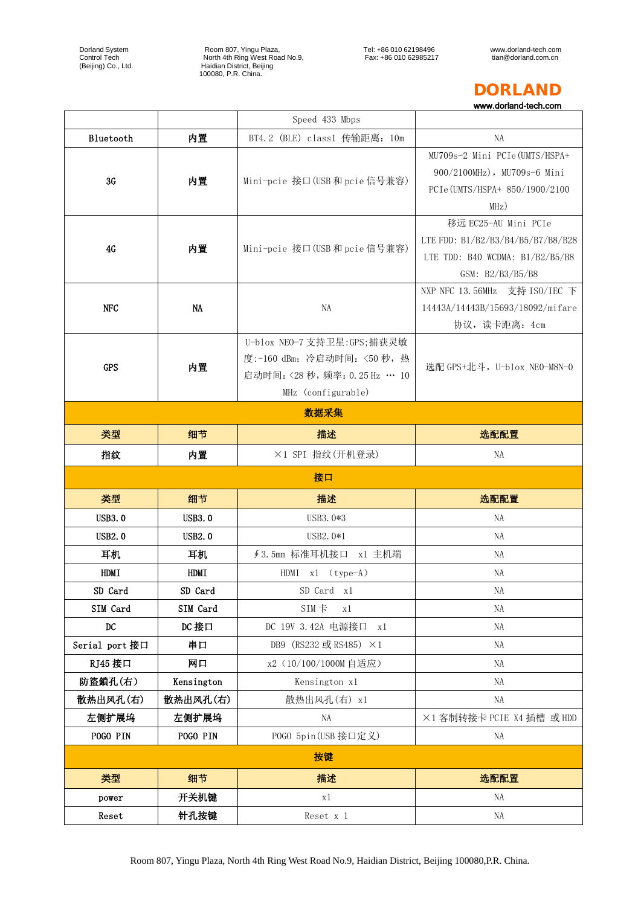Dorland System Room 807, Yingu Plaza, Tel: +86 010 62198496 www.dorland-tech.com Control Tech North 4th Ring West Road No.9, Fax: +86 010 62985217 tian@dorland.com.cn (Beijing) Co., Ltd. Haidian District, Beijing 100080, P.R. China.

## DORLAND

www.dorland-tech.com

|                |               | Speed 433 Mbps                                                                                                   |                                                                                                                    |  |  |
|----------------|---------------|------------------------------------------------------------------------------------------------------------------|--------------------------------------------------------------------------------------------------------------------|--|--|
| Bluetooth      | 内置            | BT4.2 (BLE) class1 传输距离: 10m                                                                                     | NA                                                                                                                 |  |  |
| 3G             | 内置            | Mini-pcie 接口(USB 和 pcie 信号兼容)                                                                                    | MU709s-2 Mini PCIe (UMTS/HSPA+<br>900/2100MHz), MU709s-6 Mini<br>PCIe (UMTS/HSPA+ 850/1900/2100<br>MHz)            |  |  |
| 4G             | 内置            | Mini-pcie 接口(USB 和 pcie 信号兼容)                                                                                    | 移远 EC25-AU Mini PCIe<br>LTE FDD: B1/B2/B3/B4/B5/B7/B8/B28<br>LTE TDD: B40 WCDMA: $B1/B2/B5/B8$<br>GSM: B2/B3/B5/B8 |  |  |
| <b>NFC</b>     | NA            | NA                                                                                                               | NXP NFC 13.56MHz 支持 ISO/IEC 下<br>14443A/14443B/15693/18092/mifare<br>协议, 读卡距离: 4cm                                 |  |  |
| <b>GPS</b>     | 内置            | U-blox NEO-7 支持卫星:GPS;捕获灵敏<br>度:-160 dBm; 冷启动时间: <50 秒, 热<br>启动时间:< 28 秒, 频率: 0.25 Hz … 10<br>MHz (configurable) | 选配 GPS+北斗, U-blox NE0-M8N-0                                                                                        |  |  |
| 数据采集           |               |                                                                                                                  |                                                                                                                    |  |  |
| 类型             | 细节            | 描述                                                                                                               | 选配配置                                                                                                               |  |  |
| 指纹             | 内置            | ×1 SPI 指纹(开机登录)                                                                                                  | NA                                                                                                                 |  |  |
|                |               |                                                                                                                  |                                                                                                                    |  |  |
|                |               | 接口                                                                                                               |                                                                                                                    |  |  |
| 类型             | 细节            | 描述                                                                                                               | 选配配置                                                                                                               |  |  |
| <b>USB3.0</b>  | <b>USB3.0</b> | USB3.0*3                                                                                                         | NA                                                                                                                 |  |  |
| <b>USB2.0</b>  | USB2.0        | USB2.0 $*1$                                                                                                      | NA                                                                                                                 |  |  |
| 耳机             | 耳机            | ∮ 3.5mm 标准耳机接口 x1 主机端                                                                                            | NA                                                                                                                 |  |  |
| HDMI           | <b>HDMI</b>   | HDMI x1 (type-A)                                                                                                 | NA                                                                                                                 |  |  |
| SD Card        | SD Card       | SD Card x1                                                                                                       | NA                                                                                                                 |  |  |
| SIM Card       | SIM Card      | $SIM \neq$<br>x1                                                                                                 | NA                                                                                                                 |  |  |
| DC             | DC 接口         | DC 19V 3.42A 电源接口<br>x1                                                                                          | NA                                                                                                                 |  |  |
| Serial port 接口 | 串口            | DB9 (RS232 或 RS485) ×1                                                                                           | NA                                                                                                                 |  |  |
| RJ45 接口        | 网口            | x2 (10/100/1000M 自适应)                                                                                            | NA                                                                                                                 |  |  |
| 防盜鎖孔(右)        | Kensington    | Kensington x1                                                                                                    | NA                                                                                                                 |  |  |
| 散热出风孔(右)       | 散热出风孔(右)      | 散热出风孔(右) x1                                                                                                      | NA                                                                                                                 |  |  |
| 左侧扩展坞          | 左侧扩展坞         | <b>NA</b>                                                                                                        | ×1 客制转接卡 PCIE X4 插槽 或 HDD                                                                                          |  |  |
| POGO PIN       | POGO PIN      | POGO 5pin (USB 接口定义)                                                                                             | NA                                                                                                                 |  |  |
|                |               | 按键                                                                                                               |                                                                                                                    |  |  |
| 类型             | 细节            | 描述                                                                                                               | 选配配置                                                                                                               |  |  |
| power          | 开关机键          | x1                                                                                                               | NA                                                                                                                 |  |  |